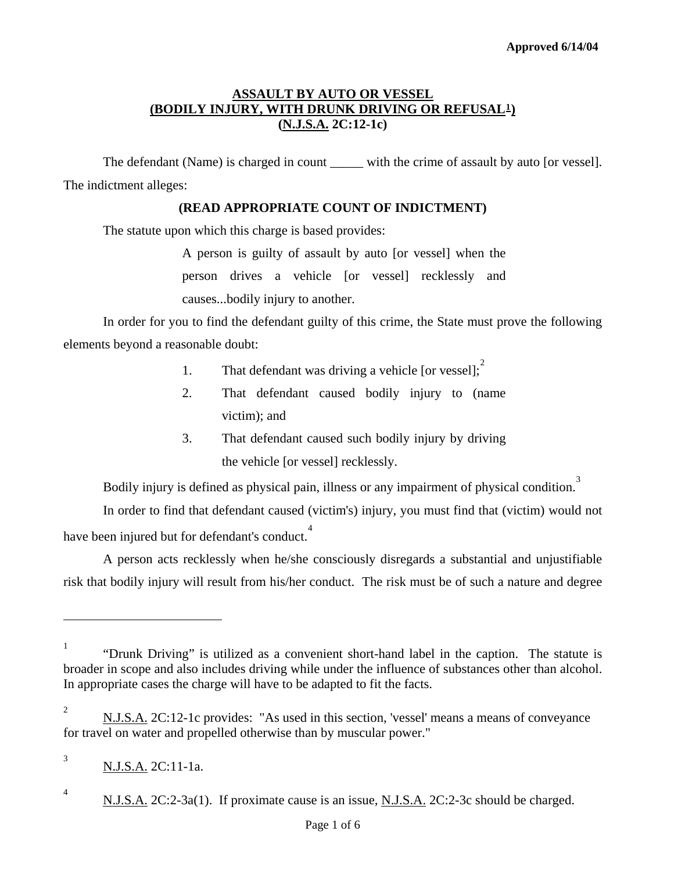# **ASSAULT BY AUTO OR VESSEL (BODILY INJURY, WITH DRUNK DRIVING OR REFUSAL[1](#page-0-0)) (N.J.S.A. 2C:12-1c)**

The defendant (Name) is charged in count \_\_\_\_\_ with the crime of assault by auto [or vessel]. The indictment alleges:

#### **(READ APPROPRIATE COUNT OF INDICTMENT)**

The statute upon which this charge is based provides:

A person is guilty of assault by auto [or vessel] when the person drives a vehicle [or vessel] recklessly and causes...bodily injury to another.

 In order for you to find the defendant guilty of this crime, the State must prove the following elements beyond a reasonable doubt:

- 1. That defendant was driving a vehicle [or vessel];
- 2. That defendant caused bodily injury to (name victim); and
- 3. That defendant caused such bodily injury by driving the vehicle [or vessel] recklessly.

Bodily injury is defined as physical pain, illness or any impairment of physical condition. [3](#page-0-2)

 In order to find that defendant caused (victim's) injury, you must find that (victim) would not have been injured but for defendant's conduct.<sup>[4](#page-0-3)</sup>

 A person acts recklessly when he/she consciously disregards a substantial and unjustifiable risk that bodily injury will result from his/her conduct. The risk must be of such a nature and degree

<span id="page-0-4"></span>

<span id="page-0-0"></span><sup>&</sup>lt;sup>1</sup> "Drunk Driving" is utilized as a convenient short-hand label in the caption. The statute is broader in scope and also includes driving while under the influence of substances other than alcohol. In appropriate cases the charge will have to be adapted to fit the facts.

<span id="page-0-1"></span><sup>2</sup> N.J.S.A. 2C:12-1c provides: "As used in this section, 'vessel' means a means of conveyance for travel on water and propelled otherwise than by muscular power."

<span id="page-0-2"></span><sup>3</sup>

N.J.S.A. 2C:11-1a.

<span id="page-0-3"></span>

<sup>&</sup>lt;sup>4</sup> N.J.S.A. 2C:2-3a(1). If proximate cause is an issue, N.J.S.A. 2C:2-3c should be charged.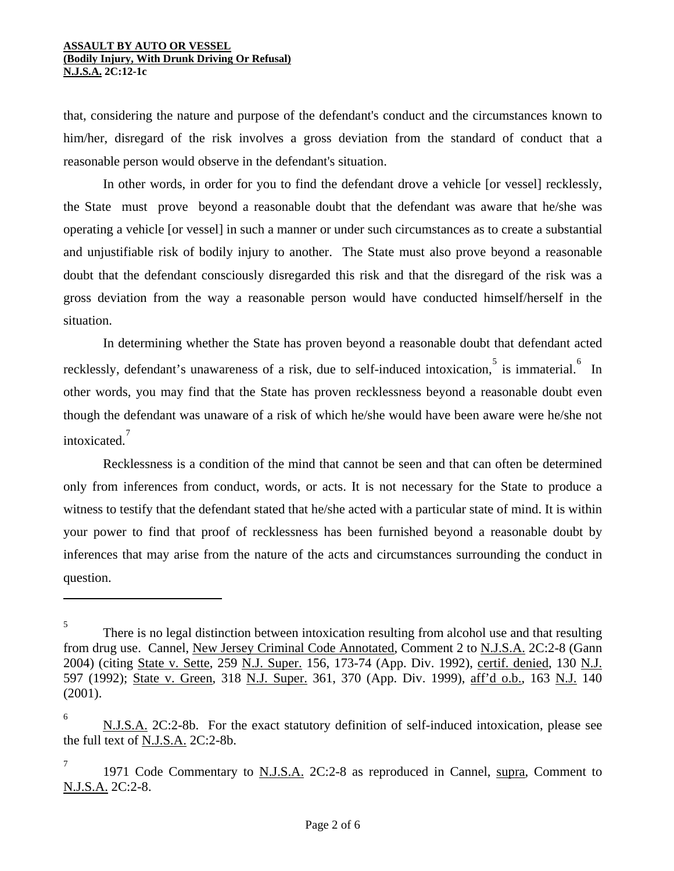that, considering the nature and purpose of the defendant's conduct and the circumstances known to him/her, disregard of the risk involves a gross deviation from the standard of conduct that a reasonable person would observe in the defendant's situation.

 In other words, in order for you to find the defendant drove a vehicle [or vessel] recklessly, the State must prove beyond a reasonable doubt that the defendant was aware that he/she was operating a vehicle [or vessel] in such a manner or under such circumstances as to create a substantial and unjustifiable risk of bodily injury to another. The State must also prove beyond a reasonable doubt that the defendant consciously disregarded this risk and that the disregard of the risk was a gross deviation from the way a reasonable person would have conducted himself/herself in the situation.

In determining whether the State has proven beyond a reasonable doubt that defendant acted recklessly, defendant's unawareness of a risk, due to self-induced intoxication, is immaterial. <sup>[6](#page-1-0)</sup> In other words, you may find that the State has proven recklessness beyond a reasonable doubt even though the defendant was unaware of a risk of which he/she would have been aware were he/she not intoxicated. [7](#page-1-1)

Recklessness is a condition of the mind that cannot be seen and that can often be determined only from inferences from conduct, words, or acts. It is not necessary for the State to produce a witness to testify that the defendant stated that he/she acted with a particular state of mind. It is within your power to find that proof of recklessness has been furnished beyond a reasonable doubt by inferences that may arise from the nature of the acts and circumstances surrounding the conduct in question.

<sup>5</sup> There is no legal distinction between intoxication resulting from alcohol use and that resulting from drug use. Cannel, New Jersey Criminal Code Annotated, Comment 2 to N.J.S.A. 2C:2-8 (Gann 2004) (citing State v. Sette, 259 N.J. Super. 156, 173-74 (App. Div. 1992), certif. denied, 130 N.J. 597 (1992); State v. Green, 318 N.J. Super. 361, 370 (App. Div. 1999), aff'd o.b., 163 N.J. 140 (2001).

<span id="page-1-0"></span><sup>6</sup> N.J.S.A. 2C:2-8b. For the exact statutory definition of self-induced intoxication, please see the full text of N.J.S.A. 2C:2-8b.

<span id="page-1-2"></span><span id="page-1-1"></span><sup>7</sup> 1971 Code Commentary to N.J.S.A. 2C:2-8 as reproduced in Cannel, supra, Comment to N.J.S.A. 2C:2-8.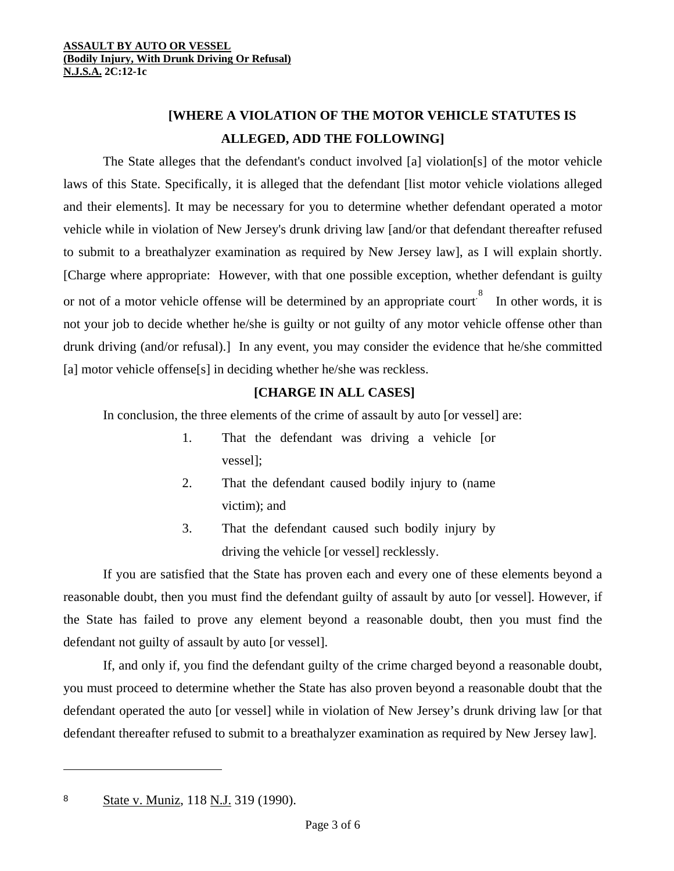# **[WHERE A VIOLATION OF THE MOTOR VEHICLE STATUTES IS ALLEGED, ADD THE FOLLOWING]**

The State alleges that the defendant's conduct involved [a] violation[s] of the motor vehicle laws of this State. Specifically, it is alleged that the defendant [list motor vehicle violations alleged and their elements]. It may be necessary for you to determine whether defendant operated a motor vehicle while in violation of New Jersey's drunk driving law [and/or that defendant thereafter refused to submit to a breathalyzer examination as required by New Jersey law], as I will explain shortly. [Charge where appropriate: However, with that one possible exception, whether defendant is guilty or not of a motor vehicle offense will be determined by an appropriate court.<sup>[8](#page-1-2)</sup> In other words, it is not your job to decide whether he/she is guilty or not guilty of any motor vehicle offense other than drunk driving (and/or refusal).] In any event, you may consider the evidence that he/she committed [a] motor vehicle offense[s] in deciding whether he/she was reckless.

### **[CHARGE IN ALL CASES]**

In conclusion, the three elements of the crime of assault by auto [or vessel] are:

- 1. That the defendant was driving a vehicle [or vessel];
- 2. That the defendant caused bodily injury to (name victim); and
- 3. That the defendant caused such bodily injury by driving the vehicle [or vessel] recklessly.

If you are satisfied that the State has proven each and every one of these elements beyond a reasonable doubt, then you must find the defendant guilty of assault by auto [or vessel]. However, if the State has failed to prove any element beyond a reasonable doubt, then you must find the defendant not guilty of assault by auto [or vessel].

<span id="page-2-0"></span>If, and only if, you find the defendant guilty of the crime charged beyond a reasonable doubt, you must proceed to determine whether the State has also proven beyond a reasonable doubt that the defendant operated the auto [or vessel] while in violation of New Jersey's drunk driving law [or that defendant thereafter refused to submit to a breathalyzer examination as required by New Jersey law].

l

<sup>8</sup> State v. Muniz, 118 N.J. 319 (1990).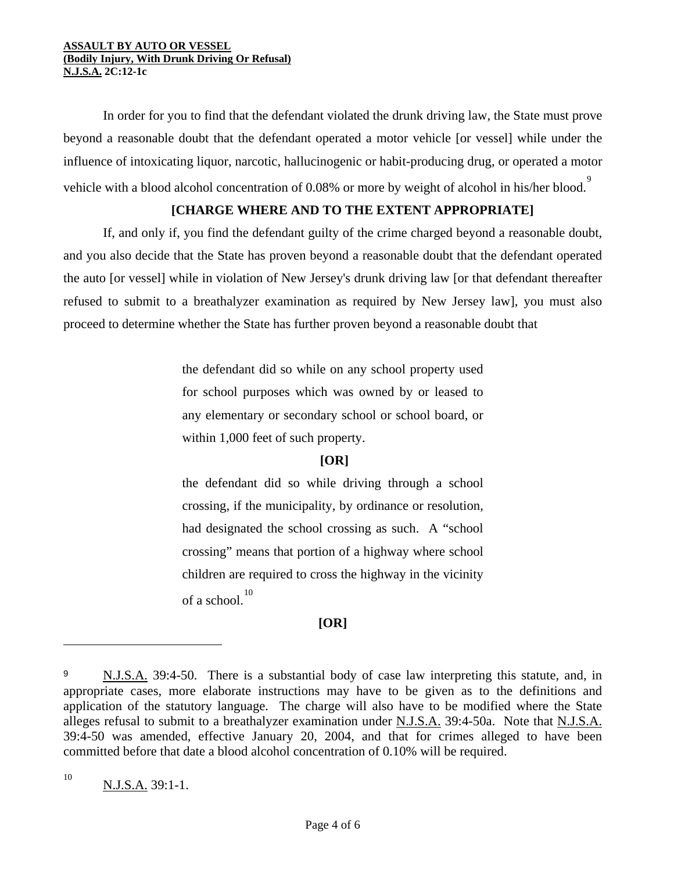In order for you to find that the defendant violated the drunk driving law, the State must prove beyond a reasonable doubt that the defendant operated a motor vehicle [or vessel] while under the influence of intoxicating liquor, narcotic, hallucinogenic or habit-producing drug, or operated a motor vehicle with a blood alcohol concentration of 0.08% or more by weight of alcohol in his/her blood.

## **[CHARGE WHERE AND TO THE EXTENT APPROPRIATE]**

If, and only if, you find the defendant guilty of the crime charged beyond a reasonable doubt, and you also decide that the State has proven beyond a reasonable doubt that the defendant operated the auto [or vessel] while in violation of New Jersey's drunk driving law [or that defendant thereafter refused to submit to a breathalyzer examination as required by New Jersey law], you must also proceed to determine whether the State has further proven beyond a reasonable doubt that

> the defendant did so while on any school property used for school purposes which was owned by or leased to any elementary or secondary school or school board, or within 1,000 feet of such property.

# **[OR]**

the defendant did so while driving through a school crossing, if the municipality, by ordinance or resolution, had designated the school crossing as such. A "school crossing" means that portion of a highway where school children are required to cross the highway in the vicinity of a school. [10](#page-3-0)

# **[OR]**

<span id="page-3-0"></span>10

<span id="page-3-1"></span><sup>9</sup> N.J.S.A. 39:4-50. There is a substantial body of case law interpreting this statute, and, in appropriate cases, more elaborate instructions may have to be given as to the definitions and application of the statutory language. The charge will also have to be modified where the State alleges refusal to submit to a breathalyzer examination under N.J.S.A. 39:4-50a. Note that N.J.S.A. 39:4-50 was amended, effective January 20, 2004, and that for crimes alleged to have been committed before that date a blood alcohol concentration of 0.10% will be required.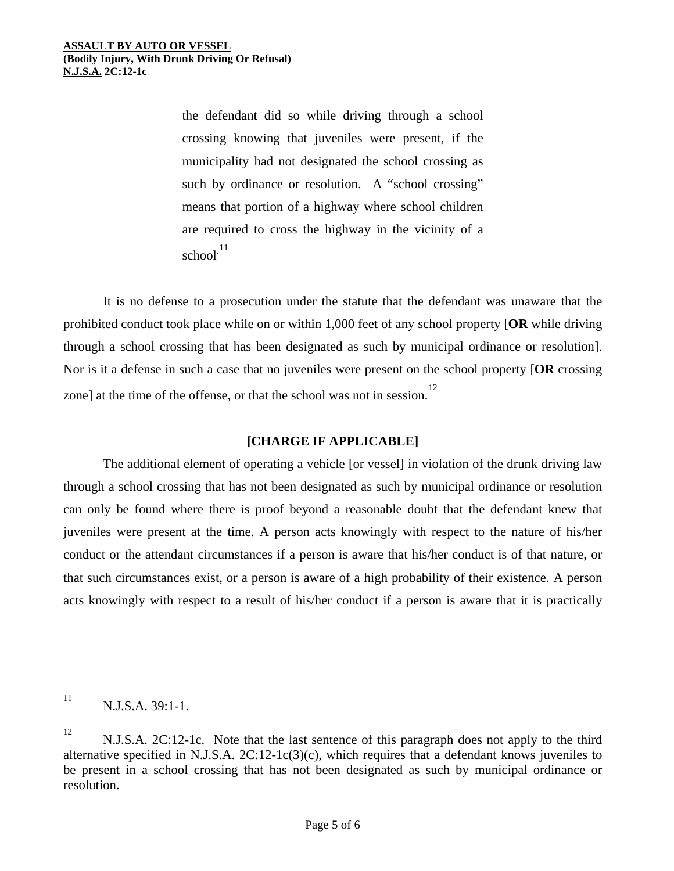the defendant did so while driving through a school crossing knowing that juveniles were present, if the municipality had not designated the school crossing as such by ordinance or resolution. A "school crossing" means that portion of a highway where school children are required to cross the highway in the vicinity of a school. [11](#page-3-1)

It is no defense to a prosecution under the statute that the defendant was unaware that the prohibited conduct took place while on or within 1,000 feet of any school property [**OR** while driving through a school crossing that has been designated as such by municipal ordinance or resolution]. Nor is it a defense in such a case that no juveniles were present on the school property [**OR** crossing zone] at the time of the offense, or that the school was not in session.<sup>[12](#page-4-0)</sup>

#### **[CHARGE IF APPLICABLE]**

The additional element of operating a vehicle [or vessel] in violation of the drunk driving law through a school crossing that has not been designated as such by municipal ordinance or resolution can only be found where there is proof beyond a reasonable doubt that the defendant knew that juveniles were present at the time. A person acts knowingly with respect to the nature of his/her conduct or the attendant circumstances if a person is aware that his/her conduct is of that nature, or that such circumstances exist, or a person is aware of a high probability of their existence. A person acts knowingly with respect to a result of his/her conduct if a person is aware that it is practically

 $\overline{a}$ 

<sup>11</sup> N.J.S.A. 39:1-1.

<span id="page-4-1"></span><span id="page-4-0"></span><sup>12</sup> N.J.S.A. 2C:12-1c. Note that the last sentence of this paragraph does not apply to the third alternative specified in N.J.S.A. 2C:12-1c(3)(c), which requires that a defendant knows juveniles to be present in a school crossing that has not been designated as such by municipal ordinance or resolution.